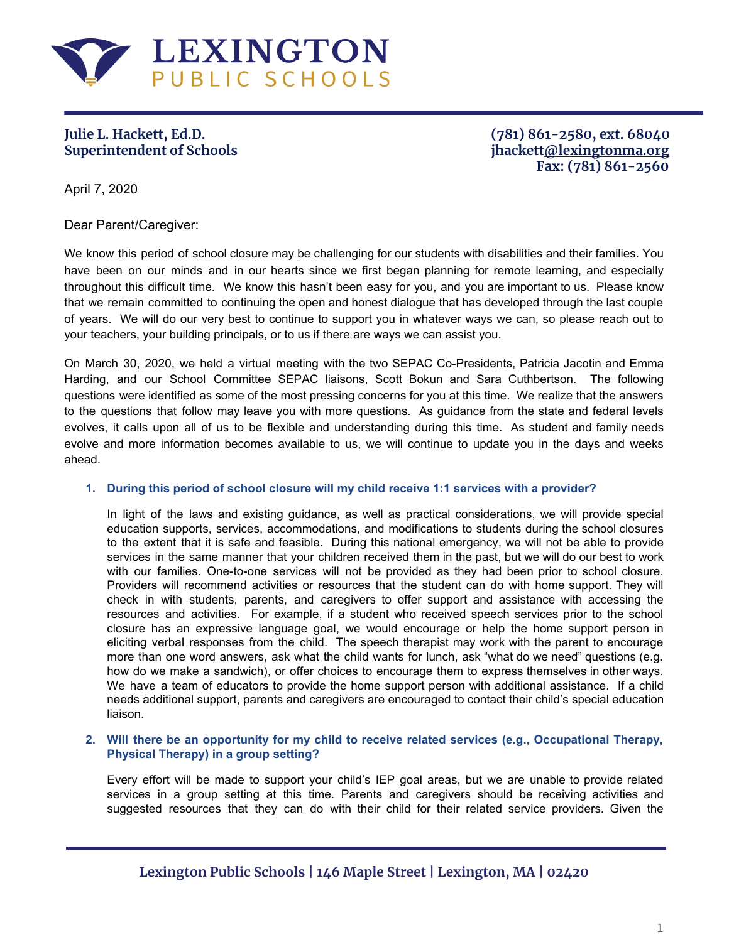

**Julie L. Hackett, Ed.D. (781) 861-2580, ext. 68040 Superintendent of Schools jhackett[@lexingtonma.org](mailto:jjudkins@lexingtonma.org) Fax: (781) 861-2560**

April 7, 2020

Dear Parent/Caregiver:

We know this period of school closure may be challenging for our students with disabilities and their families. You have been on our minds and in our hearts since we first began planning for remote learning, and especially throughout this difficult time. We know this hasn't been easy for you, and you are important to us. Please know that we remain committed to continuing the open and honest dialogue that has developed through the last couple of years. We will do our very best to continue to support you in whatever ways we can, so please reach out to your teachers, your building principals, or to us if there are ways we can assist you.

On March 30, 2020, we held a virtual meeting with the two SEPAC Co-Presidents, Patricia Jacotin and Emma Harding, and our School Committee SEPAC liaisons, Scott Bokun and Sara Cuthbertson. The following questions were identified as some of the most pressing concerns for you at this time. We realize that the answers to the questions that follow may leave you with more questions. As guidance from the state and federal levels evolves, it calls upon all of us to be flexible and understanding during this time. As student and family needs evolve and more information becomes available to us, we will continue to update you in the days and weeks ahead.

# **1. During this period of school closure will my child receive 1:1 services with a provider?**

In light of the laws and existing guidance, as well as practical considerations, we will provide special education supports, services, accommodations, and modifications to students during the school closures to the extent that it is safe and feasible. During this national emergency, we will not be able to provide services in the same manner that your children received them in the past, but we will do our best to work with our families. One-to-one services will not be provided as they had been prior to school closure. Providers will recommend activities or resources that the student can do with home support. They will check in with students, parents, and caregivers to offer support and assistance with accessing the resources and activities. For example, if a student who received speech services prior to the school closure has an expressive language goal, we would encourage or help the home support person in eliciting verbal responses from the child. The speech therapist may work with the parent to encourage more than one word answers, ask what the child wants for lunch, ask "what do we need" questions (e.g. how do we make a sandwich), or offer choices to encourage them to express themselves in other ways. We have a team of educators to provide the home support person with additional assistance. If a child needs additional support, parents and caregivers are encouraged to contact their child's special education liaison.

# **2. Will there be an opportunity for my child to receive related services (e.g., Occupational Therapy, Physical Therapy) in a group setting?**

Every effort will be made to support your child's IEP goal areas, but we are unable to provide related services in a group setting at this time. Parents and caregivers should be receiving activities and suggested resources that they can do with their child for their related service providers. Given the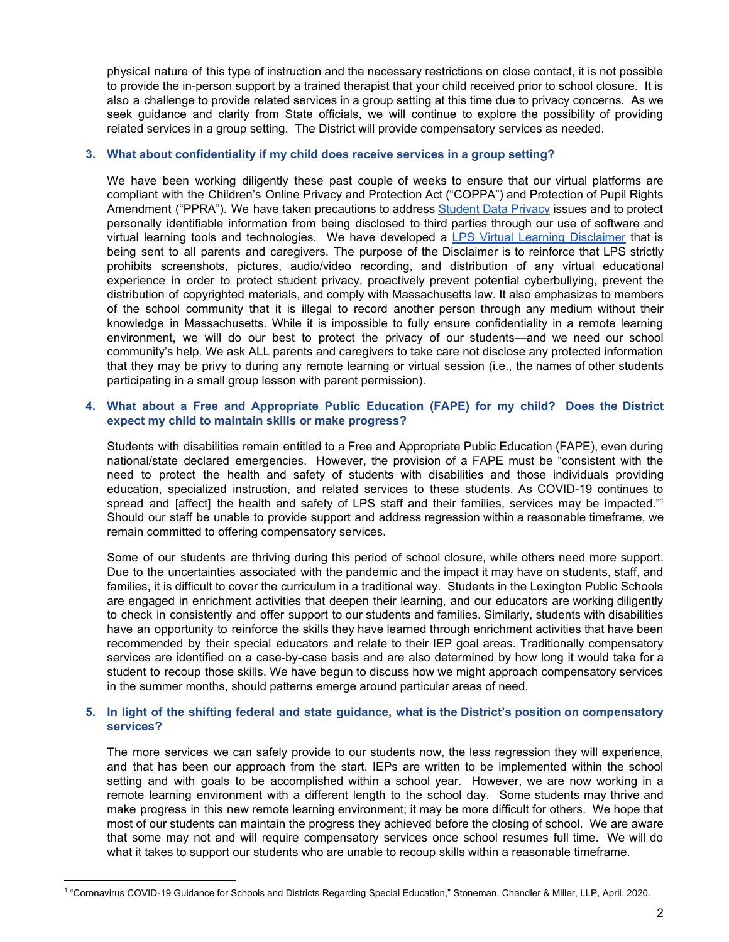physical nature of this type of instruction and the necessary restrictions on close contact, it is not possible to provide the in-person support by a trained therapist that your child received prior to school closure. It is also a challenge to provide related services in a group setting at this time due to privacy concerns. As we seek guidance and clarity from State officials, we will continue to explore the possibility of providing related services in a group setting. The District will provide compensatory services as needed.

### **3. What about confidentiality if my child does receive services in a group setting?**

We have been working diligently these past couple of weeks to ensure that our virtual platforms are compliant with the Children's Online Privacy and Protection Act ("COPPA") and Protection of Pupil Rights Amendment ("PPRA"). We have taken precautions to address [Student](https://docs.google.com/document/d/1v7f0NtjxGYIRMFmV86uD0fWkfl2Zp-RiGMx_YsLRBZQ/edit?usp=sharing) Data Privacy issues and to protect personally identifiable information from being disclosed to third parties through our use of software and virtual learning tools and technologies. We have developed a LPS Virtual Learning [Disclaimer](https://docs.google.com/document/d/125q5ssar11noNfJuj-_93eo3r06PuBlHBm9NhdxJecU/edit?usp=sharing) that is being sent to all parents and caregivers. The purpose of the Disclaimer is to reinforce that LPS strictly prohibits screenshots, pictures, audio/video recording, and distribution of any virtual educational experience in order to protect student privacy, proactively prevent potential cyberbullying, prevent the distribution of copyrighted materials, and comply with Massachusetts law. It also emphasizes to members of the school community that it is illegal to record another person through any medium without their knowledge in Massachusetts. While it is impossible to fully ensure confidentiality in a remote learning environment, we will do our best to protect the privacy of our students—and we need our school community's help. We ask ALL parents and caregivers to take care not disclose any protected information that they may be privy to during any remote learning or virtual session (i.e., the names of other students participating in a small group lesson with parent permission).

## **4. What about a Free and Appropriate Public Education (FAPE) for my child? Does the District expect my child to maintain skills or make progress?**

Students with disabilities remain entitled to a Free and Appropriate Public Education (FAPE), even during national/state declared emergencies. However, the provision of a FAPE must be "consistent with the need to protect the health and safety of students with disabilities and those individuals providing education, specialized instruction, and related services to these students. As COVID-19 continues to spread and [affect] the health and safety of LPS staff and their families, services may be impacted." 1 Should our staff be unable to provide support and address regression within a reasonable timeframe, we remain committed to offering compensatory services.

Some of our students are thriving during this period of school closure, while others need more support. Due to the uncertainties associated with the pandemic and the impact it may have on students, staff, and families, it is difficult to cover the curriculum in a traditional way. Students in the Lexington Public Schools are engaged in enrichment activities that deepen their learning, and our educators are working diligently to check in consistently and offer support to our students and families. Similarly, students with disabilities have an opportunity to reinforce the skills they have learned through enrichment activities that have been recommended by their special educators and relate to their IEP goal areas. Traditionally compensatory services are identified on a case-by-case basis and are also determined by how long it would take for a student to recoup those skills. We have begun to discuss how we might approach compensatory services in the summer months, should patterns emerge around particular areas of need.

### **5. In light of the shifting federal and state guidance, what is the District's position on compensatory services?**

The more services we can safely provide to our students now, the less regression they will experience, and that has been our approach from the start. IEPs are written to be implemented within the school setting and with goals to be accomplished within a school year. However, we are now working in a remote learning environment with a different length to the school day. Some students may thrive and make progress in this new remote learning environment; it may be more difficult for others. We hope that most of our students can maintain the progress they achieved before the closing of school. We are aware that some may not and will require compensatory services once school resumes full time. We will do what it takes to support our students who are unable to recoup skills within a reasonable timeframe.

<sup>&</sup>lt;sup>1</sup> "Coronavirus COVID-19 Guidance for Schools and Districts Regarding Special Education," Stoneman, Chandler & Miller, LLP, April, 2020.